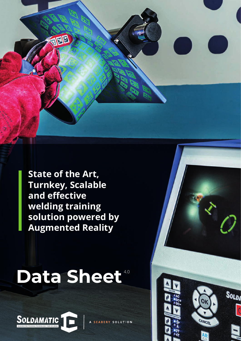**State of the Art, Turnkey, Scalable and effective welding training solution powered by Augmented Reality**

网图

## Data Sheet<sup>40</sup>



A SEABERY SOLUTION

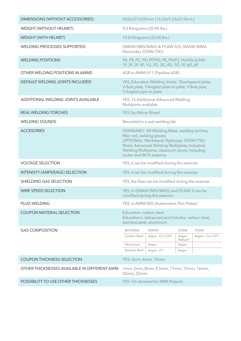| <b>DIMENSIONS (WITHOUT ACCESSORIES)</b>      | 420x237x535mm (16.53x9.25x21.06 in.)                                                                                                                                                                                                                       |                                           |                   |                                           |
|----------------------------------------------|------------------------------------------------------------------------------------------------------------------------------------------------------------------------------------------------------------------------------------------------------------|-------------------------------------------|-------------------|-------------------------------------------|
| <b>WEIGHT (WITHOUT HELMET)</b>               | 9.5 Kilograms (20.94 lbs.)                                                                                                                                                                                                                                 |                                           |                   |                                           |
| <b>WEIGHT (WITH HELMET)</b>                  | 10.8 Kilograms (23.80 lbs.)                                                                                                                                                                                                                                |                                           |                   |                                           |
| <b>WELDING PROCESSES SUPPORTED</b>           | GMAW (MIG/MAG) & FCAW G/S, SMAW (MMA<br>Electrode), GTAW (TIG)                                                                                                                                                                                             |                                           |                   |                                           |
| <b>WELDING POSITIONS</b>                     | PA, PB, PC, PD, PF/PG, PE, PH/PJ, HL045/JL045 -<br>1F, 2F, 3F, 4F, 1G, 2G, 3G, 4G, 5G, 5F, 6G, 6F                                                                                                                                                          |                                           |                   |                                           |
| OTHER WELDING POSITIONS IN AWMS              | 6GR in AWM-011 (Pipeline 6GR)                                                                                                                                                                                                                              |                                           |                   |                                           |
| DEFAULT WELDING JOINTS INCLUDED              | YES, Education Welding Joints: Overlapped plate,<br>V-Butt plate, T-Angled plate to plate, V-Butt pipe,<br>T-Angled pipe to plate                                                                                                                          |                                           |                   |                                           |
| <b>ADDITIONAL WELDING JOINTS AVAILABLE</b>   | YES, 15 Additional Advanced Welding<br>Multijoints available                                                                                                                                                                                               |                                           |                   |                                           |
| <b>REAL WELDING TORCHES</b>                  | <b>YES, by Abicor Binzel</b>                                                                                                                                                                                                                               |                                           |                   |                                           |
| <b>WELDING SOUNDS</b>                        | Recorded in a real welding lab                                                                                                                                                                                                                             |                                           |                   |                                           |
| <b>ACCESORIES</b>                            | STANDARD: AR Welding Mask, welding torches,<br>filler rod, welding gloves<br>OPTIONAL: Workstand, flightcase, GTAW (TIG)<br>Pedal, Advanced Welding Multijoints, Industrial<br>Welding Multijoints, classroom server including<br>router and Wi-Fi antenna |                                           |                   |                                           |
| <b>VOLTAGE SELECTION</b>                     | YES, it can be modified during the exercise                                                                                                                                                                                                                |                                           |                   |                                           |
| <b>INTENSITY (AMPERAGE) SELECTION</b>        | YES, it can be modified during the exercise                                                                                                                                                                                                                |                                           |                   |                                           |
| SHIELDING GAS SELECTION                      | YES, the flow can be modified during the exercise                                                                                                                                                                                                          |                                           |                   |                                           |
| <b>WIRE SPEED SELECTION</b>                  | YES, in GMAW (MIG/MAG) and FCAW, it can be<br>modified during the exercise                                                                                                                                                                                 |                                           |                   |                                           |
| <b>PLUG WELDING</b>                          | YES, in AWM-005 (Automotive Thin Plates)                                                                                                                                                                                                                   |                                           |                   |                                           |
| <b>COUPON MATERIAL SELECTION</b>             | Education: carbon steel<br>Education+, Advanced and Industry: carbon steel,<br>stainless steel, aluminium                                                                                                                                                  |                                           |                   |                                           |
| <b>GAS COMPOSITION</b>                       | <b>MATERIAL</b>                                                                                                                                                                                                                                            | <b>GMAW</b>                               | <b>GTAW</b>       | <b>FCAW</b>                               |
|                                              | Carbon Steel                                                                                                                                                                                                                                               | Argon - Co <sup>2</sup> , CO <sup>2</sup> | Argon,<br>Helium* | Argon - Co <sup>2</sup> , CO <sup>2</sup> |
|                                              | Aluminium<br><b>Stainless Steel</b>                                                                                                                                                                                                                        | Argon<br>Argon - O <sup>2</sup>           | Argon<br>Argon    | $\sim$<br>$\overline{\phantom{a}}$        |
| <b>COUPON THICKNESS SELECTION</b>            | YES: 3mm, 6mm, 10mm                                                                                                                                                                                                                                        |                                           |                   |                                           |
| OTHER THICKNESSES AVAILABLE IN DIFFERENT AWM |                                                                                                                                                                                                                                                            |                                           |                   |                                           |
|                                              | 1mm, 2mm, 8mm, 9.5mm, 11mm, 15mm, 16mm,<br>20mm, 25mm                                                                                                                                                                                                      |                                           |                   |                                           |
| POSSIBILITY TO USE OTHER THICKNESSES         | <b>YES: On demand for IWM Projects</b>                                                                                                                                                                                                                     |                                           |                   |                                           |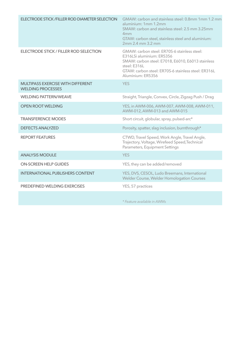| ELECTRODE STICK / FILLER ROD DIAMETER SELECTION                      | GMAW: carbon and stainless steel: 0.8mm 1mm 1.2 mm<br>aluminium: 1mm 1.2mm<br>SMAW: carbon and stainless steel: 2.5 mm 3.25mm<br>4 <sub>mm</sub><br>GTAW: carbon steel, stainless steel and aluminium:<br>2mm 2.4 mm 3.2 mm |
|----------------------------------------------------------------------|-----------------------------------------------------------------------------------------------------------------------------------------------------------------------------------------------------------------------------|
| ELECTRODE STICK / FILLER ROD SELECTION                               | GMAW: carbon steel: ER70S-6 stainless steel:<br>E316LSi aluminium: ER5356<br>SMAW: carbon steel: E7018, E6010, E6013 stainless<br>steel: E316L<br>GTAW: carbon steel: ER70S-6 stainless steel: ER316L<br>Aluminium: ER5356  |
| <b>MULTIPASS EXERCISE WITH DIFFERENT</b><br><b>WELDING PROCESSES</b> | <b>YES</b>                                                                                                                                                                                                                  |
| <b>WELDING PATTERN/WEAVE</b>                                         | Straight, Triangle, Convex, Circle, Zigzag Push / Drag                                                                                                                                                                      |
| OPEN ROOT WELDING                                                    | YES, in AWM-006, AWM-007, AWM-008, AWM-011,<br>AWM-012, AWM-013 and AWM-015                                                                                                                                                 |
| <b>TRANSFERENCE MODES</b>                                            | Short circuit, globular, spray, pulsed-arc*                                                                                                                                                                                 |
| <b>DEFECTS ANALYZED</b>                                              | Porosity, spatter, slag inclusion, burnthrough*                                                                                                                                                                             |
| <b>REPORT FEATURES</b>                                               | CTWD, Travel Speed, Work Angle, Travel Angle,<br>Trajectory, Voltage, Wirefeed Speed, Technical<br>Parameters, Equipment Settings                                                                                           |
| <b>ANALYSIS MODULE</b>                                               | <b>YES</b>                                                                                                                                                                                                                  |
| <b>ON-SCREEN HELP GUIDES</b>                                         | YES, they can be added/removed                                                                                                                                                                                              |
| <b>INTERNATIONAL PUBLISHERS CONTENT</b>                              | YES, DVS, CESOL, Ludo Breemans, International<br>Welder Course, Welder Homologation Courses                                                                                                                                 |
| PREDEFINED WELDING EXERCISES                                         | YES, 57 practices                                                                                                                                                                                                           |
|                                                                      |                                                                                                                                                                                                                             |

*\* Feature available in AWMs*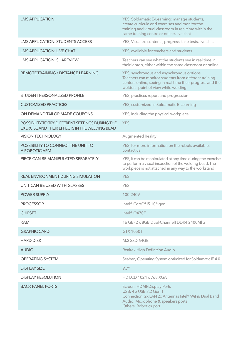| <b>LMS APPLICATION</b>                                                                                    | YES, Soldamatic E-Learning: manage students,<br>create curricula and exercises and monitor the<br>training and virtual classroom in real time within the<br>same training centre or online, live chat     |
|-----------------------------------------------------------------------------------------------------------|-----------------------------------------------------------------------------------------------------------------------------------------------------------------------------------------------------------|
| <b>LMS APPLICATION: STUDENTS ACCESS</b>                                                                   | YES, Visualize contents, progress, take tests, live chat                                                                                                                                                  |
| <b>LMS APPLICATION: LIVE CHAT</b>                                                                         | YES, available for teachers and students                                                                                                                                                                  |
| <b>LMS APPLICATION: SHAREVIEW</b>                                                                         | Teachers can see what the students see in real time in<br>their laptop, either within the same classroom or online                                                                                        |
| <b>REMOTE TRAINING / DISTANCE LEARNING</b>                                                                | YES, synchronous and asynchronous options.<br>Teachers can monitor students from different training<br>centers online, seeing in real time their progress and the<br>welders' point of view while welding |
| STUDENT PERSONALIZED PROFILE                                                                              | YES, practices report and progression                                                                                                                                                                     |
| <b>CUSTOMIZED PRACTICES</b>                                                                               | YES, customized in Soldamatic E-Learning                                                                                                                                                                  |
| ON DEMAND TAILOR MADE COUPONS                                                                             | YES, including the physical workpiece                                                                                                                                                                     |
| POSSIBILITY TO TRY DIFFERENT SETTINGS DURING THE<br><b>EXERCISE AND THEIR EFFECTS IN THE WELDING BEAD</b> | <b>YES</b>                                                                                                                                                                                                |
| <b>VISION TECHNOLOGY</b>                                                                                  | <b>Augmented Reality</b>                                                                                                                                                                                  |
| POSSIBILITY TO CONNECT THE UNIT TO<br>A ROBOTIC ARM                                                       | YES, for more information on the robots available,<br>contact us                                                                                                                                          |
| PIECE CAN BE MANIPULATED SEPARATELY                                                                       | YES, it can be manipulated at any time during the exercise<br>to perform a visual inspection of the welding bead. The<br>workpiece is not attached in any way to the workstand                            |
| <b>REAL ENVIRONMENT DURING SIMULATION</b>                                                                 | <b>YES</b>                                                                                                                                                                                                |
| UNIT CAN BE USED WITH GLASSES                                                                             | <b>YES</b>                                                                                                                                                                                                |
| <b>POWER SUPPLY</b>                                                                                       | 100-240V                                                                                                                                                                                                  |
| <b>PROCESSOR</b>                                                                                          | Intel® Core™ i5 10th gen                                                                                                                                                                                  |
| <b>CHIPSET</b>                                                                                            | Intel <sup>®</sup> Q470E                                                                                                                                                                                  |
| <b>RAM</b>                                                                                                | 16 GB (2 x 8GB Dual-Channel) DDR4 2400Mhz                                                                                                                                                                 |
| <b>GRAPHIC CARD</b>                                                                                       | <b>GTX 1050Ti</b>                                                                                                                                                                                         |
| <b>HARD DISK</b>                                                                                          | <b>M.2 SSD 64GB</b>                                                                                                                                                                                       |
| <b>AUDIO</b>                                                                                              | <b>Realtek High Definition Audio</b>                                                                                                                                                                      |
| <b>OPERATING SYSTEM</b>                                                                                   | Seabery Operating System optimized for Soldamatic IE 4.0                                                                                                                                                  |
| <b>DISPLAY SIZE</b>                                                                                       | 9.7''                                                                                                                                                                                                     |
| <b>DISPLAY RESOLUTION</b>                                                                                 | HD LCD 1024 x 768 XGA                                                                                                                                                                                     |
| <b>BACK PANEL PORTS</b>                                                                                   | <b>Screen: HDMI/Display Ports</b><br>USB: 4 x USB 3.2 Gen 1<br>Connection: 2x LAN 2x Antennas Intel® WiFi6 Dual Band<br>Audio: Microphone & speakers ports<br>Others: Robotics port                       |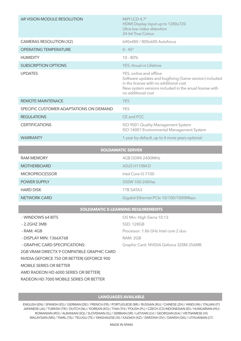| AR VISION MODULE RESOLUTION             | MIPI LCD 4,7"<br>HDMI Display input up to 1280x720<br>Ultra-low video distortion<br>24-bit True Colour                                                                                                      |  |  |  |
|-----------------------------------------|-------------------------------------------------------------------------------------------------------------------------------------------------------------------------------------------------------------|--|--|--|
| <b>CAMERAS RESOLUTION (X2)</b>          | 640x480 / 800x600 Autofocus                                                                                                                                                                                 |  |  |  |
| <b>OPERATING TEMPERATURE</b>            | $0 - 45^{\circ}$                                                                                                                                                                                            |  |  |  |
| <b>HUMIDITY</b>                         | $10 - 80%$                                                                                                                                                                                                  |  |  |  |
| <b>SUBSCRIPTION OPTIONS</b>             | <b>YES: Anual or Lifetime</b>                                                                                                                                                                               |  |  |  |
| <b>UPDATES</b>                          | YES, online and offline<br>Software updates and bugfixing (Same version) included<br>in the license with no additional cost<br>New system versions included in the anual license with<br>no additional cost |  |  |  |
| <b>REMOTE MAINTENACE</b>                | <b>YES</b>                                                                                                                                                                                                  |  |  |  |
| SPECIFIC CUSTOMER ADAPTATIONS ON DEMAND | <b>YES</b>                                                                                                                                                                                                  |  |  |  |
| <b>REGULATIONS</b>                      | CE and FCC                                                                                                                                                                                                  |  |  |  |
| <b>CERTIFICATIONS</b>                   | ISO 9001 Quality Management System<br>ISO 14001 Environmental Management System                                                                                                                             |  |  |  |
| <b>WARRANTY</b>                         | 1 year by default, up to 4 more years optional                                                                                                                                                              |  |  |  |
| <b>SOLDAMATIC SERVER</b>                |                                                                                                                                                                                                             |  |  |  |
| <b>RAM MEMORY</b>                       | 4GB DDR4 2400MHz                                                                                                                                                                                            |  |  |  |
| <b>MOTHERBOARD</b>                      | ASUS H110M-D                                                                                                                                                                                                |  |  |  |
| <b>MICROPROCESSOR</b>                   | Intel Core 13-7100                                                                                                                                                                                          |  |  |  |
| POWER SUPPLY                            | 550W 100-240Vac                                                                                                                                                                                             |  |  |  |
| <b>HARD DISK</b>                        | <b>1TB SATA3</b>                                                                                                                                                                                            |  |  |  |
| <b>NETWORK CARD</b>                     | Gigabit Ethernet PCIe 10/100/1000Mbps                                                                                                                                                                       |  |  |  |
| SOLDAMATIC E-LEARNING REQUIREMENTS      |                                                                                                                                                                                                             |  |  |  |
| - WINDOWS 64 BITS                       | OS Min: High Sierra 10.13                                                                                                                                                                                   |  |  |  |

- 2.2GHZ 3MB SSD: 128GB - RAM: 4GB Processor: 1.86 GHz Intel core 2 duo - DISPLAY MIN: 1366X768 RAM: 2GB - GRAPHIC CARD SPECIFICATIONS: Graphic Card: NVIDIA Geforce 320M 256MB 2GB VRAM DIRECTX 9 COMPATIBLE GRAPHIC CARD NVIDIA GEFORCE 750 OR BETTER| GEFORCE 900 MOBILE SERIES OR BETTER AMD RADEON HD 6000 SERIES OR BETTER|

RADEON HD 7000 MOBILE SERIES OR BETTER

## **LANGUAGES AVAILABLE**

ENGLISH (EN) / SPANISH (ES) / GERMAN (DE) / FRENCH (FR) / PORTUGUESE (BR) / RUSSIAN (RU) / CHINESE (ZH) / HINDI (IN) / ITALIAN (IT) JAPANESE (JA) / TURKISH (TR) / DUTCH (NL) / KOREAN (KO) / THAI (TH) / POLISH (PL) / CZECH (CS) INDONESIAN (ID) / HUNGARIAN (HU) ROMANIAN (RO) / ALBANIAN (SQ) / SLOVENIAN (SL) / SERBIAN (SR) / LATVIAN (LV) / GEORGIAN (KA) / VIETNAMESE (VI) MALAYSIAN (MS) / TAMIL (TA) / TELUGU (TE) / SINGHALESE (SI) / KAZAKH (KZ) / SWEDISH (SV) / DANISH (DA) / LITHUANIAN (LT)